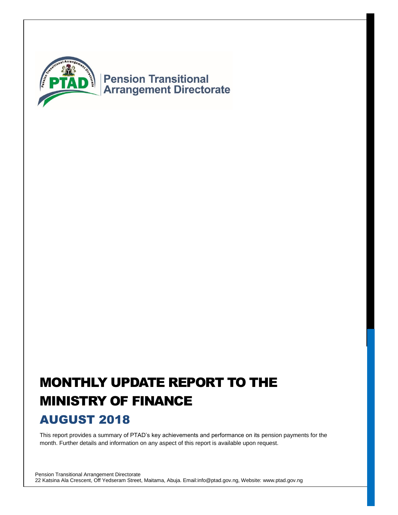

# MONTHLY UPDATE REPORT TO THE MINISTRY OF FINANCE

# AUGUST 2018

This report provides a summary of PTAD's key achievements and performance on its pension payments for the month. Further details and information on any aspect of this report is available upon request.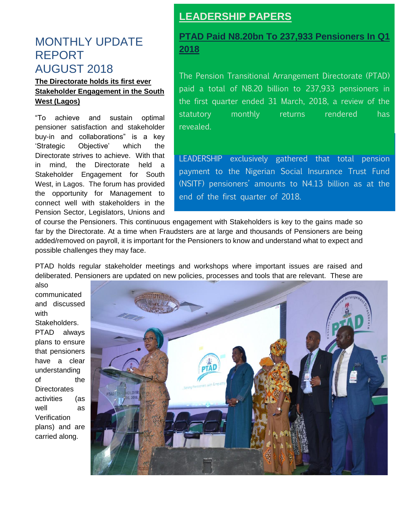### **LEADERSHIP PAPERS**

## MONTHLY UPDATE REPORT AUGUST 2018

### **The Directorate holds its first ever Stakeholder Engagement in the South West (Lagos)**

"To achieve and sustain optimal pensioner satisfaction and stakeholder buy-in and collaborations" is a key 'Strategic Objective' which the Directorate strives to achieve. With that in mind, the Directorate held a Stakeholder Engagement for South West, in Lagos. The forum has provided the opportunity for Management to connect well with stakeholders in the Pension Sector, Legislators, Unions and

### **PTAD Paid N8.20bn To 237,933 Pensioners In Q1 2018**

The Pension Transitional Arrangement Directorate (PTAD) paid a total of N8.20 billion to 237,933 pensioners in the first quarter ended 31 March, 2018, a review of the statutory monthly returns rendered has revealed.

LEADERSHIP exclusively gathered that total pension payment to the Nigerian Social Insurance Trust Fund (NSITF) pensioners' amounts to N4.13 billion as at the end of the first quarter of 2018.

of course the Pensioners. This continuous engagement with Stakeholders is key to the gains made so far by the Directorate. At a time when Fraudsters are at large and thousands of Pensioners are being added/removed on payroll, it is important for the Pensioners to know and understand what to expect and possible challenges they may face.

PTAD holds regular stakeholder meetings and workshops where important issues are raised and deliberated. Pensioners are updated on new policies, processes and tools that are relevant. These are

also communicated and discussed with Stakeholders. PTAD always plans to ensure that pensioners have a clear understanding of the **Directorates** activities (as well as **Verification** plans) and are carried along.

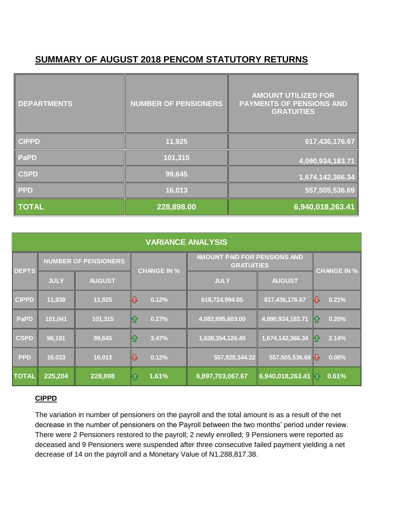### **SUMMARY OF AUGUST 2018 PENCOM STATUTORY RETURNS**

| DEPARTMENTS     | <b>NUMBER OF PENSIONERS</b> | <b>AMOUNT UTILIZED FOR</b><br><b>PAYMENTS OF PENSIONS AND</b><br><b>GRATUITIES</b> |
|-----------------|-----------------------------|------------------------------------------------------------------------------------|
| CIPPD           | 11,925                      | 617,436,176.67                                                                     |
| <b>PaPD</b>     | 101,315                     | 4,090,934,183.71                                                                   |
| <b>CSPD</b>     | 99,645                      | 1,674,142,366.34                                                                   |
| $\parallel$ PPD | 16,013                      | 557,505,536.69                                                                     |
| <b>TOTAL</b>    | 228,898.00                  | 6,940,018,263.41                                                                   |

|              | <b>VARIANCE ANALYSIS</b>    |               |                    |                                                   |                    |                |
|--------------|-----------------------------|---------------|--------------------|---------------------------------------------------|--------------------|----------------|
| <b>DEPTS</b> | <b>NUMBER OF PENSIONERS</b> |               | <b>CHANGE IN %</b> | AMOUNT PAID FOR PENSIONS AND<br><b>GRATUITIES</b> | <b>CHANGE IN %</b> |                |
|              | <b>JULY</b>                 | <b>AUGUST</b> |                    | <b>JULY</b>                                       | <b>AUGUST</b>      |                |
| <b>CIPPD</b> | 11,939                      | 11,925        | IJĻ<br>0.12%       | 618,724,994.05                                    | 617,436,176.67     | II. L<br>0.21% |
| PaPD         | 101,041                     | 101,315       | 0.27%              | 4,082,695,603.00                                  | 4,090,934,183.71   | 0.20%<br>KY    |
| <b>CSPD</b>  | 96,191                      | 99,645        | 3.47%              | 1,638,354,126.40                                  | 1,674,142,366.34   | 2.14%<br>KY    |
| <b>PPD</b>   | 16,033                      | 16,013        | 0.12%              | 557,928,344.22                                    | 557,505,536.69     | 0.08%          |
| <b>TOTAL</b> | 225,204                     | 228,898       | K<br>1.61%         | 6,897,703,067.67                                  | 6,940,018,263.41   | KY<br>0.61%    |

### **CIPPD**

The variation in number of pensioners on the payroll and the total amount is as a result of the net decrease in the number of pensioners on the Payroll between the two months' period under review. There were 2 Pensioners restored to the payroll; 2 newly enrolled; 9 Pensioners were reported as deceased and 9 Pensioners were suspended after three consecutive failed payment yielding a net decrease of 14 on the payroll and a Monetary Value of N1,288,817.38.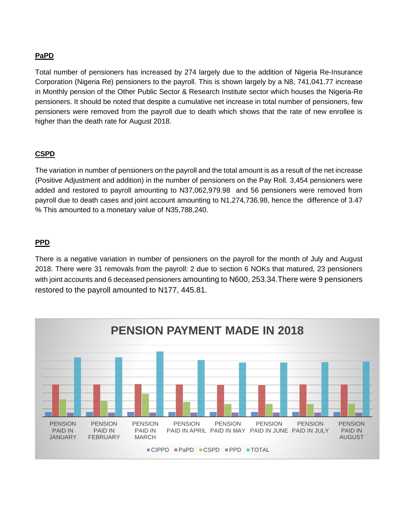### **PaPD**

Total number of pensioners has increased by 274 largely due to the addition of Nigeria Re-Insurance Corporation (Nigeria Re) pensioners to the payroll. This is shown largely by a N8, 741,041.77 increase in Monthly pension of the Other Public Sector & Research Institute sector which houses the Nigeria-Re pensioners. It should be noted that despite a cumulative net increase in total number of pensioners, few pensioners were removed from the payroll due to death which shows that the rate of new enrollee is higher than the death rate for August 2018.

#### **CSPD**

The variation in number of pensioners on the payroll and the total amount is as a result of the net increase (Positive Adjustment and addition) in the number of pensioners on the Pay Roll. 3,454 pensioners were added and restored to payroll amounting to N37,062,979.98 and 56 pensioners were removed from payroll due to death cases and joint account amounting to N1,274,736.98, hence the difference of 3.47 % This amounted to a monetary value of N35,788,240.

#### **PPD**

There is a negative variation in number of pensioners on the payroll for the month of July and August 2018. There were 31 removals from the payroll: 2 due to section 6 NOKs that matured, 23 pensioners with joint accounts and 6 deceased pensioners amounting to N600, 253.34.There were 9 pensioners restored to the payroll amounted to N177, 445.81.

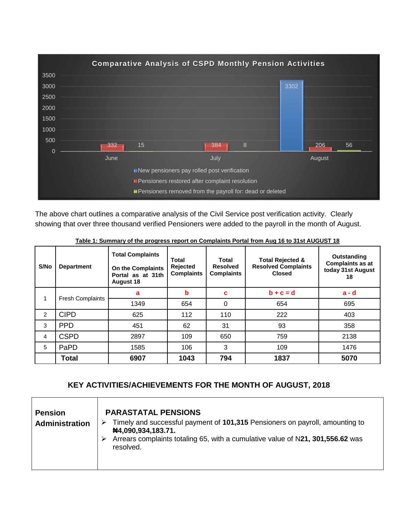

The above chart outlines a comparative analysis of the Civil Service post verification activity. Clearly showing that over three thousand verified Pensioners were added to the payroll in the month of August.

| S/No | <b>Department</b>       | <b>Total Complaints</b><br><b>On the Complaints</b><br>Portal as at 31th<br><b>August 18</b> | Total<br><b>Rejected</b><br><b>Complaints</b> | <b>Total</b><br><b>Resolved</b><br><b>Complaints</b> | <b>Total Rejected &amp;</b><br><b>Resolved Complaints</b><br><b>Closed</b> | Outstanding<br><b>Complaints as at</b><br>today 31st August<br>18 |
|------|-------------------------|----------------------------------------------------------------------------------------------|-----------------------------------------------|------------------------------------------------------|----------------------------------------------------------------------------|-------------------------------------------------------------------|
|      | <b>Fresh Complaints</b> | a                                                                                            | b                                             | c                                                    | $b + c = d$                                                                | $a - d$                                                           |
|      |                         | 1349                                                                                         | 654                                           | 0                                                    | 654                                                                        | 695                                                               |
| 2    | <b>CIPD</b>             | 625                                                                                          | 112                                           | 110                                                  | 222                                                                        | 403                                                               |
| 3    | <b>PPD</b>              | 451                                                                                          | 62                                            | 31                                                   | 93                                                                         | 358                                                               |
| 4    | <b>CSPD</b>             | 2897                                                                                         | 109                                           | 650                                                  | 759                                                                        | 2138                                                              |
| 5    | PaPD                    | 1585                                                                                         | 106                                           | 3                                                    | 109                                                                        | 1476                                                              |
|      | Total                   | 6907                                                                                         | 1043                                          | 794                                                  | 1837                                                                       | 5070                                                              |

**Table 1: Summary of the progress report on Complaints Portal from Aug 16 to 31st AUGUST 18**

#### **KEY ACTIVITIES/ACHIEVEMENTS FOR THE MONTH OF AUGUST, 2018**

| <b>Pension</b><br>Administration | <b>PARASTATAL PENSIONS</b><br>Timely and successful payment of 101,315 Pensioners on payroll, amounting to<br>#4,090,934,183.71.<br>Arrears complaints totaling 65, with a cumulative value of N21, 301, 556.62 was<br>resolved. |
|----------------------------------|----------------------------------------------------------------------------------------------------------------------------------------------------------------------------------------------------------------------------------|
|                                  |                                                                                                                                                                                                                                  |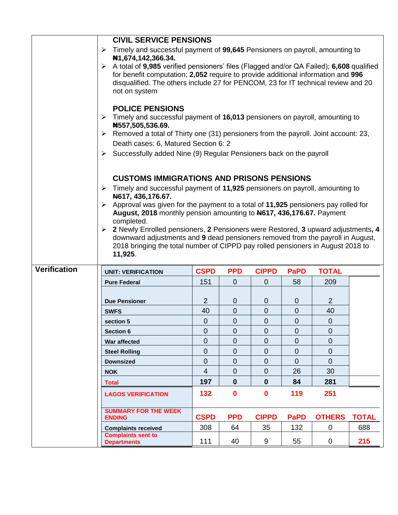|                     | <b>CIVIL SERVICE PENSIONS</b>                                                                                                                                         |                               |                     |                               |                               |                               |              |
|---------------------|-----------------------------------------------------------------------------------------------------------------------------------------------------------------------|-------------------------------|---------------------|-------------------------------|-------------------------------|-------------------------------|--------------|
|                     | $\triangleright$ Timely and successful payment of 99,645 Pensioners on payroll, amounting to                                                                          |                               |                     |                               |                               |                               |              |
|                     | #1,674,142,366.34.                                                                                                                                                    |                               |                     |                               |                               |                               |              |
|                     | > A total of 9,985 verified pensioners' files (Flagged and/or QA Failed); 6,608 qualified                                                                             |                               |                     |                               |                               |                               |              |
|                     | for benefit computation; 2,052 require to provide additional information and 996<br>disqualified. The others include 27 for PENCOM, 23 for IT technical review and 20 |                               |                     |                               |                               |                               |              |
|                     | not on system                                                                                                                                                         |                               |                     |                               |                               |                               |              |
|                     |                                                                                                                                                                       |                               |                     |                               |                               |                               |              |
|                     | <b>POLICE PENSIONS</b>                                                                                                                                                |                               |                     |                               |                               |                               |              |
|                     | Timely and successful payment of 16,013 pensioners on payroll, amounting to<br>➤                                                                                      |                               |                     |                               |                               |                               |              |
|                     | #557,505,536.69.<br>$\triangleright$ Removed a total of Thirty one (31) pensioners from the payroll. Joint account: 23,                                               |                               |                     |                               |                               |                               |              |
|                     | Death cases: 6, Matured Section 6: 2                                                                                                                                  |                               |                     |                               |                               |                               |              |
|                     | $\triangleright$ Successfully added Nine (9) Regular Pensioners back on the payroll                                                                                   |                               |                     |                               |                               |                               |              |
|                     |                                                                                                                                                                       |                               |                     |                               |                               |                               |              |
|                     |                                                                                                                                                                       |                               |                     |                               |                               |                               |              |
|                     | <b>CUSTOMS IMMIGRATIONS AND PRISONS PENSIONS</b>                                                                                                                      |                               |                     |                               |                               |                               |              |
|                     | Timely and successful payment of 11,925 pensioners on payroll, amounting to<br>➤                                                                                      |                               |                     |                               |                               |                               |              |
|                     | N617, 436, 176.67.<br>$\triangleright$ Approval was given for the payment to a total of 11,925 pensioners pay rolled for                                              |                               |                     |                               |                               |                               |              |
|                     | August, 2018 monthly pension amounting to N617, 436, 176.67. Payment                                                                                                  |                               |                     |                               |                               |                               |              |
|                     | completed.                                                                                                                                                            |                               |                     |                               |                               |                               |              |
|                     | > 2 Newly Enrolled pensioners, 2 Pensioners were Restored, 3 upward adjustments, 4                                                                                    |                               |                     |                               |                               |                               |              |
|                     | downward adjustments and 9 dead pensioners removed from the payroll in August,<br>2018 bringing the total number of CIPPD pay rolled pensioners in August 2018 to     |                               |                     |                               |                               |                               |              |
|                     | 11,925.                                                                                                                                                               |                               |                     |                               |                               |                               |              |
|                     |                                                                                                                                                                       |                               |                     |                               |                               |                               |              |
| <b>Verification</b> | <b>UNIT: VERIFICATION</b>                                                                                                                                             | <b>CSPD</b>                   | <b>PPD</b>          | <b>CIPPD</b>                  | <b>PaPD</b>                   | <b>TOTAL</b>                  |              |
|                     | <b>Pure Federal</b>                                                                                                                                                   | 151                           | $\overline{0}$      | $\mathbf 0$                   | 58                            | 209                           |              |
|                     |                                                                                                                                                                       |                               |                     |                               |                               |                               |              |
|                     | <b>Due Pensioner</b>                                                                                                                                                  | $\overline{2}$                | 0                   | $\overline{0}$                | $\overline{0}$                | $\overline{2}$                |              |
|                     | <b>SWFS</b>                                                                                                                                                           | 40                            | $\overline{0}$      | $\overline{0}$                | $\overline{0}$                | 40                            |              |
|                     | section 5                                                                                                                                                             | $\boldsymbol{0}$              | $\mathbf 0$         | $\overline{0}$                | $\overline{0}$                | $\overline{0}$                |              |
|                     | <b>Section 6</b>                                                                                                                                                      | $\mathbf 0$                   | 0<br>$\overline{0}$ | $\mathbf 0$                   | $\mathbf 0$                   | $\overline{0}$                |              |
|                     | War affected                                                                                                                                                          | $\mathbf 0$<br>$\overline{0}$ | $\overline{0}$      | $\overline{0}$<br>$\mathbf 0$ | $\overline{0}$<br>$\mathbf 0$ | $\mathbf 0$<br>$\overline{0}$ |              |
|                     | <b>Steel Rolling</b>                                                                                                                                                  |                               |                     |                               |                               | $\overline{0}$                |              |
|                     | <b>Downsized</b>                                                                                                                                                      | $\mathbf 0$                   | $\mathbf 0$         | $\overline{0}$                | $\mathbf 0$                   |                               |              |
|                     | <b>NOK</b>                                                                                                                                                            | $\overline{4}$                | $\overline{0}$      | $\mathbf 0$                   | 26                            | 30                            |              |
|                     | <b>Total</b>                                                                                                                                                          | 197                           | $\mathbf 0$         | $\mathbf 0$                   | 84                            | 281                           |              |
|                     | <b>LAGOS VERIFICATION</b>                                                                                                                                             | 132                           | $\mathbf 0$         | $\mathbf 0$                   | 119                           | 251                           |              |
|                     | <b>SUMMARY FOR THE WEEK</b>                                                                                                                                           |                               |                     |                               |                               |                               |              |
|                     | <b>ENDING</b>                                                                                                                                                         | <b>CSPD</b>                   | <b>PPD</b>          | <b>CIPPD</b>                  | <b>PaPD</b>                   | <b>OTHERS</b>                 | <b>TOTAL</b> |
|                     | <b>Complaints received</b>                                                                                                                                            | 308                           | 64                  | 35                            | 132                           | $\mathbf 0$                   | 688          |
|                     |                                                                                                                                                                       |                               |                     |                               |                               |                               |              |
|                     | <b>Complaints sent to</b><br><b>Departments</b>                                                                                                                       | 111                           | 40                  | 9                             | 55                            | $\overline{0}$                | 215          |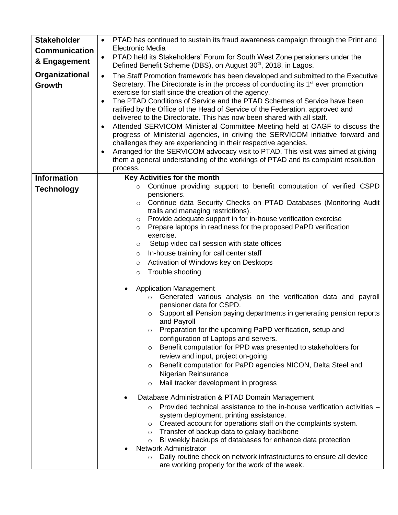| <b>Stakeholder</b>   | PTAD has continued to sustain its fraud awareness campaign through the Print and                                                                                |  |  |  |  |
|----------------------|-----------------------------------------------------------------------------------------------------------------------------------------------------------------|--|--|--|--|
| <b>Communication</b> | <b>Electronic Media</b>                                                                                                                                         |  |  |  |  |
| & Engagement         | PTAD held its Stakeholders' Forum for South West Zone pensioners under the<br>Defined Benefit Scheme (DBS), on August 30 <sup>th</sup> , 2018, in Lagos.        |  |  |  |  |
| Organizational       | The Staff Promotion framework has been developed and submitted to the Executive<br>$\bullet$                                                                    |  |  |  |  |
| <b>Growth</b>        | Secretary. The Directorate is in the process of conducting its 1 <sup>st</sup> ever promotion                                                                   |  |  |  |  |
|                      | exercise for staff since the creation of the agency.                                                                                                            |  |  |  |  |
|                      | The PTAD Conditions of Service and the PTAD Schemes of Service have been<br>$\bullet$                                                                           |  |  |  |  |
|                      | ratified by the Office of the Head of Service of the Federation, approved and                                                                                   |  |  |  |  |
|                      | delivered to the Directorate. This has now been shared with all staff.                                                                                          |  |  |  |  |
|                      | Attended SERVICOM Ministerial Committee Meeting held at OAGF to discuss the<br>progress of Ministerial agencies, in driving the SERVICOM initiative forward and |  |  |  |  |
|                      | challenges they are experiencing in their respective agencies.                                                                                                  |  |  |  |  |
|                      | Arranged for the SERVICOM advocacy visit to PTAD. This visit was aimed at giving<br>$\bullet$                                                                   |  |  |  |  |
|                      | them a general understanding of the workings of PTAD and its complaint resolution                                                                               |  |  |  |  |
|                      | process.                                                                                                                                                        |  |  |  |  |
| <b>Information</b>   | Key Activities for the month                                                                                                                                    |  |  |  |  |
| <b>Technology</b>    | Continue providing support to benefit computation of verified CSPD<br>$\circ$<br>pensioners.                                                                    |  |  |  |  |
|                      | Continue data Security Checks on PTAD Databases (Monitoring Audit<br>$\circ$                                                                                    |  |  |  |  |
|                      | trails and managing restrictions).                                                                                                                              |  |  |  |  |
|                      | Provide adequate support in for in-house verification exercise<br>$\circ$                                                                                       |  |  |  |  |
|                      | Prepare laptops in readiness for the proposed PaPD verification<br>$\circ$                                                                                      |  |  |  |  |
|                      | exercise.                                                                                                                                                       |  |  |  |  |
|                      | Setup video call session with state offices<br>$\circ$<br>In-house training for call center staff                                                               |  |  |  |  |
|                      | $\circ$<br>Activation of Windows key on Desktops                                                                                                                |  |  |  |  |
|                      | $\circ$<br>Trouble shooting<br>$\circ$                                                                                                                          |  |  |  |  |
|                      |                                                                                                                                                                 |  |  |  |  |
|                      | <b>Application Management</b>                                                                                                                                   |  |  |  |  |
|                      | o Generated various analysis on the verification data and payroll                                                                                               |  |  |  |  |
|                      | pensioner data for CSPD.<br>Support all Pension paying departments in generating pension reports                                                                |  |  |  |  |
|                      | and Payroll                                                                                                                                                     |  |  |  |  |
|                      | Preparation for the upcoming PaPD verification, setup and                                                                                                       |  |  |  |  |
|                      | configuration of Laptops and servers.                                                                                                                           |  |  |  |  |
|                      | Benefit computation for PPD was presented to stakeholders for<br>$\circ$                                                                                        |  |  |  |  |
|                      | review and input, project on-going                                                                                                                              |  |  |  |  |
|                      | Benefit computation for PaPD agencies NICON, Delta Steel and<br>$\circ$                                                                                         |  |  |  |  |
|                      | Nigerian Reinsurance<br>Mail tracker development in progress<br>$\circ$                                                                                         |  |  |  |  |
|                      |                                                                                                                                                                 |  |  |  |  |
|                      | Database Administration & PTAD Domain Management                                                                                                                |  |  |  |  |
|                      | Provided technical assistance to the in-house verification activities -<br>$\circ$                                                                              |  |  |  |  |
|                      | system deployment, printing assistance.<br>Created account for operations staff on the complaints system.                                                       |  |  |  |  |
|                      | $\circ$<br>Transfer of backup data to galaxy backbone<br>$\circ$                                                                                                |  |  |  |  |
|                      | Bi weekly backups of databases for enhance data protection<br>$\circ$                                                                                           |  |  |  |  |
|                      | Network Administrator                                                                                                                                           |  |  |  |  |
|                      | Daily routine check on network infrastructures to ensure all device<br>$\circ$<br>are working properly for the work of the week.                                |  |  |  |  |